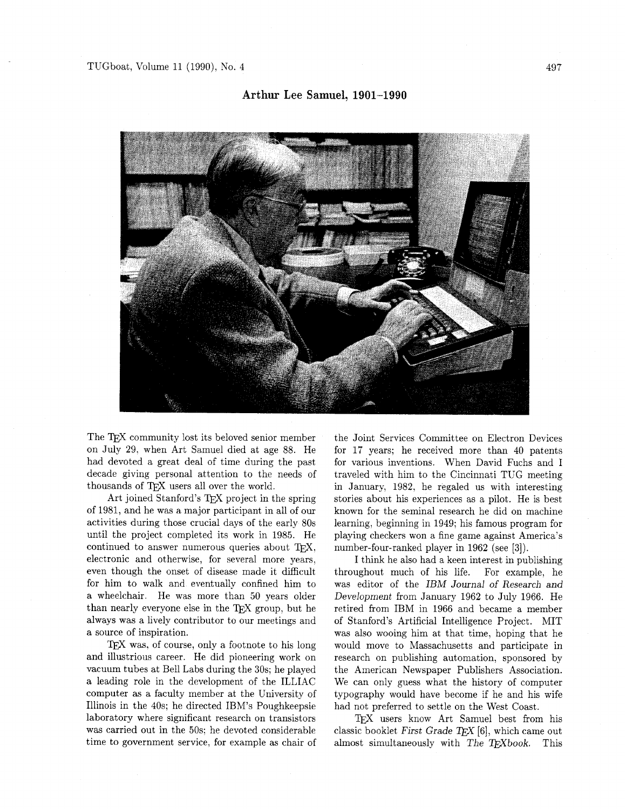## **Arthur Lee Samuel, 1901-1990**



The T<sub>F</sub>X community lost its beloved senior member on July 29, when Art Samuel died at age 88. He had devoted a great deal of time during the past decade giving personal attention to the needs of thousands of TEX users all over the world.

Art joined Stanford's TEX project in the spring of 1981, and he was a major participant in all of our activities during those crucial days of the early 80s until the project completed its work in 1985. He continued to answer numerous queries about TEX, electronic and otherwise, for several more years, even though the onset of disease made it difficult for him to walk and eventually confined him to a wheelchair. He was more than 50 years older than nearly everyone else in the TEX group, but he always was a lively contributor to our meetings and a source of inspiration.

 $TFX$  was, of course, only a footnote to his long and illustrious career. He did pioneering work on vacuum tubes at Bell Labs during the 30s; he played a leading role in the development of the ILLIAC computer as a faculty member at the University of Illinois in the 40s; he directed IBM's Poughkeepsie laboratory where significant research on transistors was carried out in the 50s: he devoted considerable time to government service, for example as chair of

the Joint Services Committee on Electron Devices for 17 years; he received more than 40 patents for various inventions. When David Fuchs and I traveled with him to the Cincinnati TUG meeting in January, 1982, he regaled us with interesting stories about his experiences as a pilot. He is best known for the seminal research he did on machine learning, beginning in 1949; his famous program for playing checkers won a fine game against America's number-four-ranked player in 1962 (see [3]).

I think he also had a keen interest in publishing throughout much of his life. For example, he was editor of the IBM Journal of Research and Development from January 1962 to July 1966. He retired from IBM in 1966 and became a member of Stanford's Artificial Intelligence Project. MIT was also wooing him at that time, hoping that he would move to Massachusetts and participate in research on publishing automation, sponsored by the American Newspaper Publishers Association. We can only guess what the history of computer typography would have become if he and his wife had not preferred to settle on the West Coast.

TEX users know Art Samuel best from his classic booklet First Grade  $TFX$  [6], which came out almost simultaneously with The T $\bar{r}X$ book. This